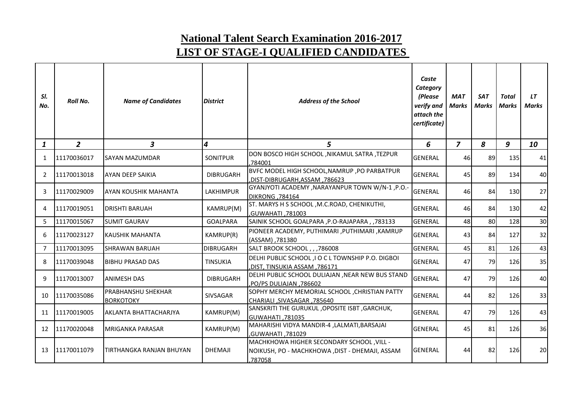## **National Talent Search Examination 2016-2017 LIST OF STAGE-I QUALIFIED CANDIDATES**

| SI.<br>No.     | <b>Roll No.</b> | <b>Name of Candidates</b>                     | <b>District</b>  | <b>Address of the School</b>                                                                          | Caste<br>Category<br>(Please<br>verify and<br>attach the<br>certificate) | <b>MAT</b><br>Marks | <b>SAT</b><br><b>Marks</b> | Total<br><b>Marks</b> | LT<br>Marks |
|----------------|-----------------|-----------------------------------------------|------------------|-------------------------------------------------------------------------------------------------------|--------------------------------------------------------------------------|---------------------|----------------------------|-----------------------|-------------|
| $\mathbf{1}$   | $\overline{2}$  | 3                                             | 4                | 5                                                                                                     | 6                                                                        | $\overline{z}$      | 8                          | 9                     | 10          |
| 1              | 11170036017     | <b>SAYAN MAZUMDAR</b>                         | SONITPUR         | DON BOSCO HIGH SCHOOL , NIKAMUL SATRA , TEZPUR<br>784001                                              | <b>GENERAL</b>                                                           | 46                  | 89                         | 135                   | 41          |
| 2              | 11170013018     | <b>AYAN DEEP SAIKIA</b>                       | <b>DIBRUGARH</b> | BVFC MODEL HIGH SCHOOL, NAMRUP, PO PARBATPUR<br>786623, DIST-DIBRUGARH, ASSAM                         | <b>GENERAL</b>                                                           | 45                  | 89                         | 134                   | 40          |
| 3              | 11170029009     | <b>AYAN KOUSHIK MAHANTA</b>                   | <b>LAKHIMPUR</b> | GYANJYOTI ACADEMY , NARAYANPUR TOWN W/N-1, P.O.<br>DIKRONG , 784164                                   | <b>GENERAL</b>                                                           | 46                  | 84                         | 130                   | 27          |
| 4              | 11170019051     | <b>DRISHTI BARUAH</b>                         | KAMRUP(M)        | ST. MARYS H S SCHOOL, M.C.ROAD, CHENIKUTHI,<br><b>CO0285. ITAHATH.</b>                                | <b>GENERAL</b>                                                           | 46                  | 84                         | 130                   | 42          |
| 5              | 11170015067     | <b>SUMIT GAURAV</b>                           | <b>GOALPARA</b>  | SAINIK SCHOOL GOALPARA, P.O-RAJAPARA, ,783133                                                         | <b>GENERAL</b>                                                           | 48                  | 80                         | 128                   | 30          |
| 6              | 11170023127     | <b>KAUSHIK MAHANTA</b>                        | KAMRUP(R)        | PIONEER ACADEMY, PUTHIMARI, PUTHIMARI, KAMRUP<br>(ASSAM) ,781380                                      | <b>GENERAL</b>                                                           | 43                  | 84                         | 127                   | 32          |
| $\overline{7}$ | 11170013095     | <b>SHRAWAN BARUAH</b>                         | <b>DIBRUGARH</b> | SALT BROOK SCHOOL, , ,786008                                                                          | <b>GENERAL</b>                                                           | 45                  | 81                         | 126                   | 43          |
| 8              | 11170039048     | <b>BIBHU PRASAD DAS</b>                       | <b>TINSUKIA</b>  | DELHI PUBLIC SCHOOL, I O C L TOWNSHIP P.O. DIGBOI<br>786171, DIST, TINSUKIA ASSAM,                    | <b>GENERAL</b>                                                           | 47                  | 79                         | 126                   | 35          |
| 9              | 11170013007     | <b>ANIMESH DAS</b>                            | <b>DIBRUGARH</b> | DELHI PUBLIC SCHOOL DULIAJAN , NEAR NEW BUS STAND<br>786602, PO/PS DULIAJAN,                          | <b>GENERAL</b>                                                           | 47                  | 79                         | 126                   | 40          |
| 10             | 11170035086     | <b>PRABHANSHU SHEKHAR</b><br><b>BORKOTOKY</b> | SIVSAGAR         | SOPHY MERCHY MEMORIAL SCHOOL, CHRISTIAN PATTY<br>CHARIALI, SIVASAGAR, 785640                          | <b>GENERAL</b>                                                           | 44                  | 82                         | 126                   | 33          |
| 11             | 11170019005     | <b>AKLANTA BHATTACHARJYA</b>                  | KAMRUP(M)        | SANSKRITI THE GURUKUL , OPOSITE ISBT , GARCHUK,<br>GUWAHATI, 781035                                   | <b>GENERAL</b>                                                           | 47                  | 79                         | 126                   | 43          |
| 12             | 11170020048     | <b>MRIGANKA PARASAR</b>                       | KAMRUP(M)        | MAHARISHI VIDYA MANDIR-4, LALMATI, BARSAJAI<br>,GUWAHATI ,781029                                      | <b>GENERAL</b>                                                           | 45                  | 81                         | 126                   | 36          |
| 13             | 11170011079     | TIRTHANGKA RANJAN BHUYAN                      | <b>DHEMAJI</b>   | MACHKHOWA HIGHER SECONDARY SCHOOL, VILL -<br>NOIKUSH, PO - MACHKHOWA ,DIST - DHEMAJI, ASSAM<br>787058 | <b>GENERAL</b>                                                           | 44                  | 82                         | 126                   | 20          |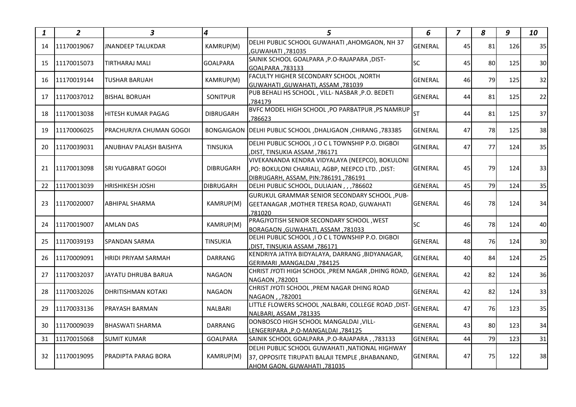| 1  | $\overline{2}$ | $\boldsymbol{3}$           | 4                | 5                                                                                                                                            | 6              | $\overline{z}$ | 8  | 9   | 10              |
|----|----------------|----------------------------|------------------|----------------------------------------------------------------------------------------------------------------------------------------------|----------------|----------------|----|-----|-----------------|
| 14 | 11170019067    | <b>JNANDEEP TALUKDAR</b>   | KAMRUP(M)        | DELHI PUBLIC SCHOOL GUWAHATI , AHOMGAON, NH 37<br>GUWAHATI ,781035                                                                           | <b>GENERAL</b> | 45             | 81 | 126 | 35              |
| 15 | 11170015073    | TIRTHARAJ MALI             | <b>GOALPARA</b>  | SAINIK SCHOOL GOALPARA , P.O-RAJAPARA , DIST-<br>GOALPARA, 783133                                                                            | <b>SC</b>      | 45             | 80 | 125 | 30              |
| 16 | 11170019144    | <b>TUSHAR BARUAH</b>       | KAMRUP(M)        | FACULTY HIGHER SECONDARY SCHOOL, NORTH<br>GUWAHATI, GUWAHATI, ASSAM, 781039                                                                  | <b>GENERAL</b> | 46             | 79 | 125 | 32              |
| 17 | 11170037012    | <b>BISHAL BORUAH</b>       | <b>SONITPUR</b>  | PUB BEHALI HS SCHOOL, VILL- NASBAR, P.O. BEDETI<br>.784179                                                                                   | GENERAL        | 44             | 81 | 125 | 22              |
| 18 | 11170013038    | HITESH KUMAR PAGAG         | <b>DIBRUGARH</b> | BVFC MODEL HIGH SCHOOL , PO PARBATPUR , PS NAMRUP<br>,786623                                                                                 | <b>ST</b>      | 44             | 81 | 125 | 37              |
| 19 | 11170006025    | PRACHURJYA CHUMAN GOGOI    |                  | BONGAIGAON   DELHI PUBLIC SCHOOL , DHALIGAON , CHIRANG , 783385                                                                              | <b>GENERAL</b> | 47             | 78 | 125 | 38              |
| 20 | 11170039031    | ANUBHAV PALASH BAISHYA     | <b>TINSUKIA</b>  | DELHI PUBLIC SCHOOL , I O C L TOWNSHIP P.O. DIGBOI<br>,DIST, TINSUKIA ASSAM ,786171                                                          | <b>GENERAL</b> | 47             | 77 | 124 | 35              |
| 21 | 11170013098    | ISRI YUGABRAT GOGOI        | <b>DIBRUGARH</b> | VIVEKANANDA KENDRA VIDYALAYA (NEEPCO), BOKULONI<br>, PO: BOKULONI CHARIALI, AGBP, NEEPCO LTD. , DIST:<br>DIBRUGARH. ASSAM. PIN:786191.786191 | <b>GENERAL</b> | 45             | 79 | 124 | 33              |
| 22 | 11170013039    | <b>HRISHIKESH JOSHI</b>    | <b>DIBRUGARH</b> | DELHI PUBLIC SCHOOL, DULIAJAN, ,,786602                                                                                                      | <b>GENERAL</b> | 45             | 79 | 124 | 35              |
| 23 | 11170020007    | <b>ABHIPAL SHARMA</b>      | KAMRUP(M)        | <b>GURUKUL GRAMMAR SENIOR SECONDARY SCHOOL, PUB-</b><br><b>GEETANAGAR, MOTHER TERESA ROAD, GUWAHATI</b><br>781020                            | <b>GENERAL</b> | 46             | 78 | 124 | 34              |
| 24 | 11170019007    | <b>AMLAN DAS</b>           | KAMRUP(M)        | PRAGJYOTISH SENIOR SECONDARY SCHOOL, WEST<br>BORAGAON, GUWAHATI, ASSAM, 781033                                                               | <b>SC</b>      | 46             | 78 | 124 | 40              |
| 25 | 11170039193    | <b>SPANDAN SARMA</b>       | <b>TINSUKIA</b>  | DELHI PUBLIC SCHOOL, I O C L TOWNSHIP P.O. DIGBOI<br>,DIST, TINSUKIA ASSAM ,786171                                                           | <b>GENERAL</b> | 48             | 76 | 124 | 30 <sup>1</sup> |
| 26 | 11170009091    | <b>HRIDI PRIYAM SARMAH</b> | <b>DARRANG</b>   | KENDRIYA JATIYA BIDYALAYA, DARRANG ,BIDYANAGAR,<br>GERIMARI , MANGALDAI , 784125                                                             | <b>GENERAL</b> | 40             | 84 | 124 | 25              |
| 27 | 11170032037    | <b>JAYATU DHRUBA BARUA</b> | <b>NAGAON</b>    | CHRIST JYOTI HIGH SCHOOL, PREM NAGAR, DHING ROAD,<br>NAGAON .782001                                                                          | <b>GENERAL</b> | 42             | 82 | 124 | 36              |
| 28 | 11170032026    | <b>IDHRITISHMAN KOTAKI</b> | <b>NAGAON</b>    | CHRIST JYOTI SCHOOL, PREM NAGAR DHING ROAD<br>NAGAON, ,782001                                                                                | <b>GENERAL</b> | 42             | 82 | 124 | 33              |
| 29 | 11170033136    | <b>PRAYASH BARMAN</b>      | <b>NALBARI</b>   | LITTLE FLOWERS SCHOOL, NALBARI, COLLEGE ROAD, DIST-<br>NALBARI, ASSAM, 781335                                                                | GENERAL        | 47             | 76 | 123 | 35              |
| 30 | 11170009039    | <b>BHASWATI SHARMA</b>     | <b>DARRANG</b>   | DONBOSCO HIGH SCHOOL MANGALDAI , VILL-<br>LENGERIPARA , P.O-MANGALDAI , 784125                                                               | <b>GENERAL</b> | 43             | 80 | 123 | 34              |
| 31 | 11170015068    | <b>SUMIT KUMAR</b>         | <b>GOALPARA</b>  | SAINIK SCHOOL GOALPARA, P.O-RAJAPARA, , 783133                                                                                               | <b>GENERAL</b> | 44             | 79 | 123 | 31              |
| 32 | 11170019095    | <b>PRADIPTA PARAG BORA</b> | KAMRUP(M)        | DELHI PUBLIC SCHOOL GUWAHATI , NATIONAL HIGHWAY<br>37, OPPOSITE TIRUPATI BALAJI TEMPLE, BHABANAND,<br>AHOM GAON, GUWAHATI, 781035            | <b>GENERAL</b> | 47             | 75 | 122 | 38              |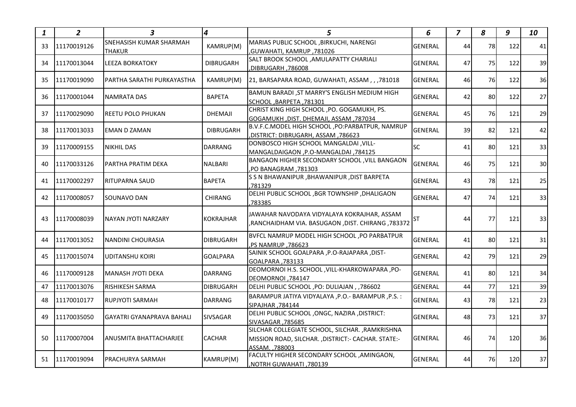| 1  | $\overline{2}$ | 3                                        | $\overline{\mathbf{4}}$ | 5.                                                                                                                     | 6              | $\overline{z}$ | 8  | 9   | 10 |
|----|----------------|------------------------------------------|-------------------------|------------------------------------------------------------------------------------------------------------------------|----------------|----------------|----|-----|----|
| 33 | 11170019126    | SNEHASISH KUMAR SHARMAH<br><b>THAKUR</b> | KAMRUP(M)               | MARIAS PUBLIC SCHOOL, BIRKUCHI, NARENGI<br>,GUWAHATI, KAMRUP, 781026                                                   | <b>GENERAL</b> | 44             | 78 | 122 | 41 |
| 34 | 11170013044    | <b>LEEZA BORKATOKY</b>                   | <b>DIBRUGARH</b>        | SALT BROOK SCHOOL , AMULAPATTY CHARIALI<br>,DIBRUGARH, 786008                                                          | <b>GENERAL</b> | 47             | 75 | 122 | 39 |
| 35 | 11170019090    | PARTHA SARATHI PURKAYASTHA               | KAMRUP(M)               | 21, BARSAPARA ROAD, GUWAHATI, ASSAM, , ,781018                                                                         | <b>GENERAL</b> | 46             | 76 | 122 | 36 |
| 36 | 11170001044    | <b>NAMRATA DAS</b>                       | <b>BAPETA</b>           | BAMUN BARADI, ST MARRY'S ENGLISH MEDIUM HIGH<br>SCHOOL, BARPETA, 781301                                                | <b>GENERAL</b> | 42             | 80 | 122 | 27 |
| 37 | 11170029090    | REETU POLO PHUKAN                        | <b>DHEMAJI</b>          | CHRIST KING HIGH SCHOOL, PO. GOGAMUKH, PS.<br>GOGAMUKH, DIST. DHEMAJI, ASSAM, 787034                                   | <b>GENERAL</b> | 45             | 76 | 121 | 29 |
| 38 | 11170013033    | EMAN D ZAMAN                             | <b>DIBRUGARH</b>        | B.V.F.C.MODEL HIGH SCHOOL, PO:PARBATPUR, NAMRUP<br>, DISTRICT: DIBRUGARH, ASSAM, 786623                                | <b>GENERAL</b> | 39             | 82 | 121 | 42 |
| 39 | 11170009155    | <b>NIKHIL DAS</b>                        | <b>DARRANG</b>          | DONBOSCO HIGH SCHOOL MANGALDAI, VILL-<br>MANGALDAIGAON , P.O-MANGALDAI , 784125                                        | SC             | 41             | 80 | 121 | 33 |
| 40 | 11170033126    | PARTHA PRATIM DEKA                       | <b>NALBARI</b>          | BANGAON HIGHER SECONDARY SCHOOL, VILL BANGAON<br>,PO BANAGRAM, 781303                                                  | <b>GENERAL</b> | 46             | 75 | 121 | 30 |
| 41 | 11170002297    | <b>RITUPARNA SAUD</b>                    | <b>BAPETA</b>           | S S N BHAWANIPUR, BHAWANIPUR, DIST BARPETA<br>,781329                                                                  | <b>GENERAL</b> | 43             | 78 | 121 | 25 |
| 42 | 11170008057    | SOUNAVO DAN                              | <b>CHIRANG</b>          | DELHI PUBLIC SCHOOL , BGR TOWNSHIP , DHALIGAON<br>.783385                                                              | <b>GENERAL</b> | 47             | 74 | 121 | 33 |
| 43 | 11170008039    | NAYAN JYOTI NARZARY                      | <b>KOKRAJHAR</b>        | JAWAHAR NAVODAYA VIDYALAYA KOKRAJHAR, ASSAM<br>,RANCHAIDHAM VIA. BASUGAON, DIST. CHIRANG, 783372                       | <b>ST</b>      | 44             | 77 | 121 | 33 |
| 44 | 11170013052    | INANDINI CHOURASIA                       | <b>DIBRUGARH</b>        | BVFCL NAMRUP MODEL HIGH SCHOOL , PO PARBATPUR<br>786623, PS NAMRUP,                                                    | <b>GENERAL</b> | 41             | 80 | 121 | 31 |
| 45 | 11170015074    | UDITANSHU KOIRI                          | <b>GOALPARA</b>         | SAINIK SCHOOL GOALPARA , P.O-RAJAPARA , DIST-<br>GOALPARA .783133                                                      | <b>GENERAL</b> | 42             | 79 | 121 | 29 |
| 46 | 11170009128    | <b>MANASH JYOTI DEKA</b>                 | <b>DARRANG</b>          | DEOMORNOI H.S. SCHOOL, VILL-KHARKOWAPARA, PO-<br>DEOMORNOI,784147                                                      | <b>GENERAL</b> | 41             | 80 | 121 | 34 |
| 47 | 11170013076    | RISHIKESH SARMA                          | <b>DIBRUGARH</b>        | DELHI PUBLIC SCHOOL , PO: DULIAJAN , , 786602                                                                          | <b>GENERAL</b> | 44             | 77 | 121 | 39 |
| 48 | 11170010177    | <b>RUPJYOTI SARMAH</b>                   | <b>DARRANG</b>          | BARAMPUR JATIYA VIDYALAYA , P.O. - BARAMPUR , P.S. :<br>SIPAJHAR .784144                                               | <b>GENERAL</b> | 43             | 78 | 121 | 23 |
| 49 | 11170035050    | <b>GAYATRI GYANAPRAVA BAHALI</b>         | <b>SIVSAGAR</b>         | DELHI PUBLIC SCHOOL , ONGC, NAZIRA , DISTRICT:<br>SIVASAGAR, 785685                                                    | <b>GENERAL</b> | 48             | 73 | 121 | 37 |
| 50 | 11170007004    | IANUSMITA BHATTACHARJEE                  | <b>CACHAR</b>           | SILCHAR COLLEGIATE SCHOOL, SILCHAR., RAMKRISHNA<br>MISSION ROAD, SILCHAR., DISTRICT:- CACHAR. STATE:-<br>ASSAM. 788003 | <b>GENERAL</b> | 46             | 74 | 120 | 36 |
| 51 | 11170019094    | <b>PRACHURYA SARMAH</b>                  | KAMRUP(M)               | FACULTY HIGHER SECONDARY SCHOOL , AMINGAON,<br>VOTRH GUWAHATI, 780139                                                  | <b>GENERAL</b> | 44             | 76 | 120 | 37 |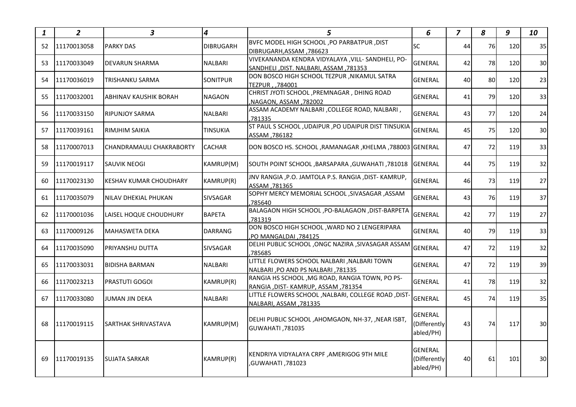| 1  | $\mathbf{2}$ | 3                               | $\boldsymbol{4}$ | 5.                                                                                           | 6                                    | $\overline{z}$ | 8  | 9   | 10              |
|----|--------------|---------------------------------|------------------|----------------------------------------------------------------------------------------------|--------------------------------------|----------------|----|-----|-----------------|
| 52 | 11170013058  | <b>PARKY DAS</b>                | <b>DIBRUGARH</b> | BVFC MODEL HIGH SCHOOL, PO PARBATPUR, DIST<br>DIBRUGARH, ASSAM, 786623                       | <b>SC</b>                            | 44             | 76 | 120 | 35              |
| 53 | 11170033049  | <b>DEVARUN SHARMA</b>           | <b>NALBARI</b>   | VIVEKANANDA KENDRA VIDYALAYA , VILL- SANDHELI, PO-<br>SANDHELI, DIST. NALBARI, ASSAM, 781353 | <b>GENERAL</b>                       | 42             | 78 | 120 | 30              |
| 54 | 11170036019  | TRISHANKU SARMA                 | <b>SONITPUR</b>  | DON BOSCO HIGH SCHOOL TEZPUR , NIKAMUL SATRA<br>TEZPUR, ,784001                              | <b>GENERAL</b>                       | 40             | 80 | 120 | 23              |
| 55 | 11170032001  | ABHINAV KAUSHIK BORAH           | <b>NAGAON</b>    | CHRIST JYOTI SCHOOL , PREMNAGAR, DHING ROAD<br>,NAGAON, ASSAM, 782002                        | GENERAL                              | 41             | 79 | 120 | 33              |
| 56 | 11170033150  | <b>RIPUNJOY SARMA</b>           | <b>NALBARI</b>   | ASSAM ACADEMY NALBARI , COLLEGE ROAD, NALBARI,<br>.781335                                    | <b>GENERAL</b>                       | 43             | 77 | 120 | 24              |
| 57 | 11170039161  | RIMJHIM SAIKIA                  | <b>TINSUKIA</b>  | ST PAUL S SCHOOL , UDAIPUR , PO UDAIPUR DIST TINSUKIA<br>ASSAM,786182                        | <b>GENERAL</b>                       | 45             | 75 | 120 | 30              |
| 58 | 11170007013  | <b>CHANDRAMAULI CHAKRABORTY</b> | <b>CACHAR</b>    | DON BOSCO HS. SCHOOL, RAMANAGAR, KHELMA, 788003 GENERAL                                      |                                      | 47             | 72 | 119 | 33              |
| 59 | 11170019117  | <b>SAUVIK NEOGI</b>             | KAMRUP(M)        | SOUTH POINT SCHOOL ,BARSAPARA ,GUWAHATI ,781018 GENERAL                                      |                                      | 44             | 75 | 119 | 32              |
| 60 | 11170023130  | KESHAV KUMAR CHOUDHARY          | KAMRUP(R)        | JNV RANGIA , P.O. JAMTOLA P.S. RANGIA , DIST- KAMRUP,<br>ASSAM, 781365                       | <b>GENERAL</b>                       | 46             | 73 | 119 | 27              |
| 61 | 11170035079  | NILAV DHEKIAL PHUKAN            | <b>SIVSAGAR</b>  | SOPHY MERCY MEMORIAL SCHOOL , SIVASAGAR , ASSAM<br>.785640                                   | <b>GENERAL</b>                       | 43             | 76 | 119 | 37              |
| 62 | 11170001036  | LAISEL HOQUE CHOUDHURY          | <b>BAPETA</b>    | BALAGAON HIGH SCHOOL , PO-BALAGAON , DIST-BARPETA<br>.781319                                 | <b>GENERAL</b>                       | 42             | 77 | 119 | 27              |
| 63 | 11170009126  | <b>MAHASWETA DEKA</b>           | <b>DARRANG</b>   | DON BOSCO HIGH SCHOOL, WARD NO 2 LENGERIPARA<br>,PO MANGALDAI, 784125                        | <b>GENERAL</b>                       | 40             | 79 | 119 | 33              |
| 64 | 11170035090  | <b>PRIYANSHU DUTTA</b>          | SIVSAGAR         | DELHI PUBLIC SCHOOL , ONGC NAZIRA , SIVASAGAR ASSAM<br>.785685                               | <b>GENERAL</b>                       | 47             | 72 | 119 | 32              |
| 65 | 11170033031  | <b>BIDISHA BARMAN</b>           | <b>NALBARI</b>   | LITTLE FLOWERS SCHOOL NALBARI , NALBARI TOWN<br>NALBARI, PO AND PS NALBARI, 781335           | <b>GENERAL</b>                       | 47             | 72 | 119 | 39              |
| 66 | 11170023213  | <b>PRASTUTI GOGOI</b>           | KAMRUP(R)        | RANGIA HS SCHOOL, MG ROAD, RANGIA TOWN, PO PS-<br>RANGIA ,DIST- KAMRUP, ASSAM ,781354        | <b>GENERAL</b>                       | 41             | 78 | 119 | 32              |
| 67 | 11170033080  | <b>JUMAN JIN DEKA</b>           | <b>NALBARI</b>   | LITTLE FLOWERS SCHOOL , NALBARI, COLLEGE ROAD, DIST-<br>NALBARI, ASSAM, 781335               | <b>GENERAL</b>                       | 45             | 74 | 119 | 35              |
| 68 | 11170019115  | <b>SARTHAK SHRIVASTAVA</b>      | KAMRUP(M)        | DELHI PUBLIC SCHOOL, AHOMGAON, NH-37, , NEAR ISBT,<br>GUWAHATI, 781035                       | GENERAL<br>(Differently<br>abled/PH) | 43             | 74 | 117 | 30 <sup>1</sup> |
| 69 | 11170019135  | <b>ISUJATA SARKAR</b>           | KAMRUP(R)        | KENDRIYA VIDYALAYA CRPF, AMERIGOG 9TH MILE<br>,GUWAHATI ,781023                              | GENERAL<br>(Differently<br>abled/PH) | 40             | 61 | 101 | 30 <sup>1</sup> |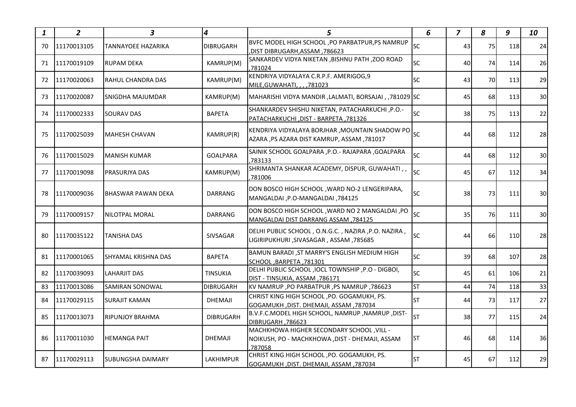| 1  | $\overline{2}$ | 3                          | 4                | 5                                                                                                     | 6         | $\overline{z}$ | 8  | 9   | 10              |
|----|----------------|----------------------------|------------------|-------------------------------------------------------------------------------------------------------|-----------|----------------|----|-----|-----------------|
| 70 | 11170013105    | <b>TANNAYOEE HAZARIKA</b>  | <b>DIBRUGARH</b> | BVFC MODEL HIGH SCHOOL, PO PARBATPUR, PS NAMRUP<br>, 786623, DIST DIBRUGARH, ASSAM,                   | <b>SC</b> | 43             | 75 | 118 | 24              |
| 71 | 11170019109    | <b>RUPAM DEKA</b>          | KAMRUP(M)        | SANKARDEV VIDYA NIKETAN ,BISHNU PATH ,ZOO ROAD<br>781024                                              | sc        | 40             | 74 | 114 | 26              |
| 72 | 11170020063    | <b>RAHUL CHANDRA DAS</b>   | KAMRUP(M)        | KENDRIYA VIDYALAYA C.R.P.F. AMERIGOG,9<br>MILE, GUWAHATI, , , , 781023                                | <b>SC</b> | 43             | 70 | 113 | 29              |
| 73 | 11170020087    | <b>SNIGDHA MAJUMDAR</b>    | KAMRUP(M)        | MAHARISHI VIDYA MANDIR ,LALMATI, BORSAJAI , ,781029 SC                                                |           | 45             | 68 | 113 | 30 <sup>1</sup> |
| 74 | 11170002333    | <b>SOURAV DAS</b>          | <b>BAPETA</b>    | SHANKARDEV SHISHU NIKETAN, PATACHARKUCHI, P.O.-<br>PATACHARKUCHI, DIST - BARPETA, 781326              | <b>SC</b> | 38             | 75 | 113 | 22              |
| 75 | 11170025039    | MAHESH CHAVAN              | KAMRUP(R)        | KENDRIYA VIDYALAYA BORJHAR , MOUNTAIN SHADOW PO<br>AZARA , PS AZARA DIST KAMRUP, ASSAM , 781017       | <b>SC</b> | 44             | 68 | 112 | 28              |
| 76 | 11170015029    | <b>MANISH KUMAR</b>        | <b>GOALPARA</b>  | SAINIK SCHOOL GOALPARA , P.O.- RAJAPARA , GOALPARA<br>,783133                                         | <b>SC</b> | 44             | 68 | 112 | 30              |
| 77 | 11170019098    | <b>PRASURJYA DAS</b>       | KAMRUP(M)        | SHRIMANTA SHANKAR ACADEMY, DISPUR, GUWAHATI,,<br>781006                                               | SC        | 45             | 67 | 112 | 34              |
| 78 | 11170009036    | IBHASWAR PAWAN DEKA        | <b>DARRANG</b>   | DON BOSCO HIGH SCHOOL, WARD NO-2 LENGERIPARA,<br>MANGALDAI, P.O-MANGALDAI, 784125                     | <b>SC</b> | 38             | 73 | 111 | 30 <sup>1</sup> |
| 79 | 11170009157    | NILOTPAL MORAL             | <b>DARRANG</b>   | DON BOSCO HIGH SCHOOL, WARD NO 2 MANGALDAI, PO<br>MANGALDAI DIST DARRANG ASSAM, 784125                | SC        | 35             | 76 | 111 | 30              |
| 80 | 11170035122    | <b>TANISHA DAS</b>         | <b>SIVSAGAR</b>  | DELHI PUBLIC SCHOOL, O.N.G.C., NAZIRA, P.O. NAZIRA,<br>LIGIRIPUKHURI, SIVASAGAR, ASSAM, 785685        | <b>SC</b> | 44             | 66 | 110 | 28              |
| 81 | 11170001065    | <b>SHYAMAL KRISHNA DAS</b> | <b>BAPETA</b>    | BAMUN BARADI, ST MARRY'S ENGLISH MEDIUM HIGH<br>SCHOOL, BARPETA, 781301                               | <b>SC</b> | 39             | 68 | 107 | 28              |
| 82 | 11170039093    | LAHARJIT DAS               | <b>TINSUKIA</b>  | DELHI PUBLIC SCHOOL , IOCL TOWNSHIP , P.O - DIGBOI,<br>DIST - TINSUKIA, ASSAM, 786171                 | sc        | 45             | 61 | 106 | 21              |
| 83 | 11170013086    | <b>SAMIRAN SONOWAL</b>     | <b>DIBRUGARH</b> | KV NAMRUP, PO PARBATPUR, PS NAMRUP, 786623                                                            | <b>ST</b> | 44             | 74 | 118 | 33              |
| 84 | 11170029115    | SURAJIT KAMAN              | <b>DHEMAJI</b>   | CHRIST KING HIGH SCHOOL, PO. GOGAMUKH, PS.<br>GOGAMUKH, DIST. DHEMAJI, ASSAM, 787034                  | <b>ST</b> | 44             | 73 | 117 | 27              |
| 85 | 11170013073    | <b>RIPUNJOY BRAHMA</b>     | <b>DIBRUGARH</b> | B.V.F.C.MODEL HIGH SCHOOL, NAMRUP, NAMRUP, DIST-<br>DIBRUGARH, 786623                                 | <b>ST</b> | 38             | 77 | 115 | 24              |
| 86 | 11170011030    | <b>HEMANGA PAIT</b>        | <b>DHEMAJI</b>   | MACHKHOWA HIGHER SECONDARY SCHOOL, VILL -<br>NOIKUSH, PO - MACHKHOWA, DIST - DHEMAJI, ASSAM<br>787058 | <b>ST</b> | 46             | 68 | 114 | 36              |
| 87 | 11170029113    | <b>SUBUNGSHA DAIMARY</b>   | <b>LAKHIMPUR</b> | CHRIST KING HIGH SCHOOL, PO. GOGAMUKH, PS.<br>GOGAMUKH, DIST. DHEMAJI, ASSAM, 787034                  | <b>ST</b> | 45             | 67 | 112 | 29              |